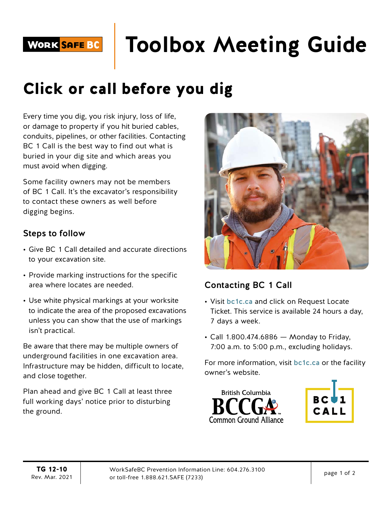### **WORK SAFE BC**

# **Toolbox Meeting Guide**

## Click or call before you dig

Every time you dig, you risk injury, loss of life, or damage to property if you hit buried cables, conduits, pipelines, or other facilities. Contacting BC 1 Call is the best way to find out what is buried in your dig site and which areas you must avoid when digging.

Some facility owners may not be members of BC 1 Call. It's the excavator's responsibility to contact these owners as well before digging begins.

#### Steps to follow

- Give BC 1 Call detailed and accurate directions to your excavation site.
- Provide marking instructions for the specific area where locates are needed.
- Use white physical markings at your worksite to indicate the area of the proposed excavations unless you can show that the use of markings isn't practical.

Be aware that there may be multiple owners of underground facilities in one excavation area. Infrastructure may be hidden, difficult to locate, and close together.

Plan ahead and give BC 1 Call at least three full working days' notice prior to disturbing the ground.



#### Contacting BC 1 Call

- Visit [bc1c.ca](http://bc1c.ca/) and click on Request Locate Ticket. This service is available 24 hours a day, 7 days a week.
- $\cdot$  Call 1.800.474.6886  $-$  Monday to Friday, 7:00 a.m. to 5:00 p.m., excluding holidays.

For more information, visit [bc1c.ca](http://bc1c.ca/) or the facility owner's website.